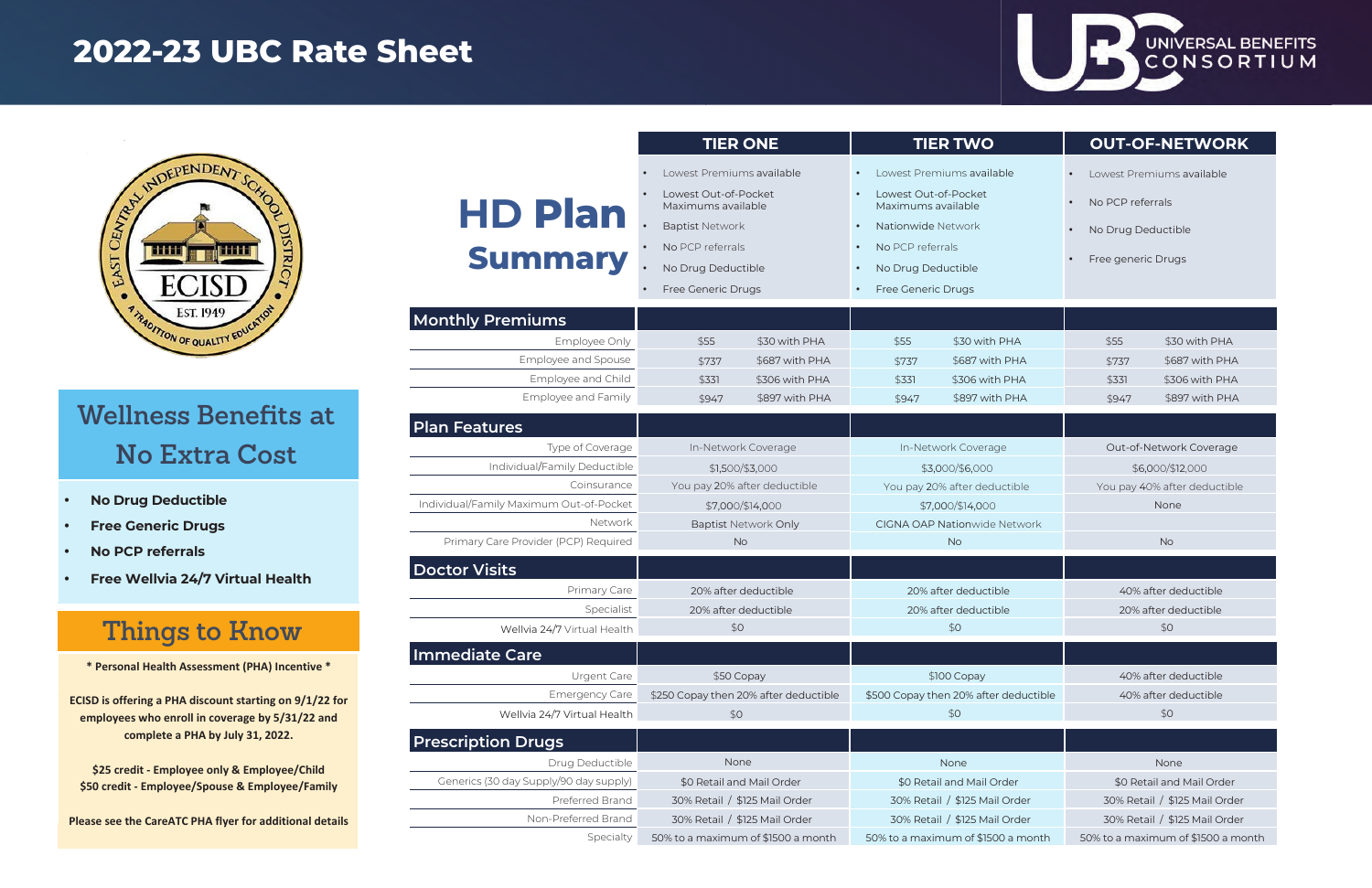### **Wellness Benefits at No Extra Cost**

**ECISD is offering a PHA discount starting on 9/1/22 for employees who enroll in coverage by 5/31/22 and complete a PHA by July 31, 2022.**

**\$25 credit - Employee only & Employee/Child\$50 credit - Employee/Spouse & Employee/Family**

**Please see the CareATC PHA flyer for additional details**

**\* Personal Health Assessment (PHA) Incentive \***

|                                                                              | <b>TIER ONE</b>                                                                                                                                                                            |                |                                                                                                                                                                    | <b>TIER TWO</b>                            | <b>OUT-OF-NETWORK</b>                                                                                                                                     |                      |  |
|------------------------------------------------------------------------------|--------------------------------------------------------------------------------------------------------------------------------------------------------------------------------------------|----------------|--------------------------------------------------------------------------------------------------------------------------------------------------------------------|--------------------------------------------|-----------------------------------------------------------------------------------------------------------------------------------------------------------|----------------------|--|
| <b>HD Plan</b><br><b>Summary</b><br><b>Monthly Premiums</b><br>Employee Only | Lowest Premiums available<br>Lowest Out-of-Pocket<br>Maximums available<br><b>Baptist Network</b><br>No PCP referrals<br>No Drug Deductible<br>Free Generic Drugs<br>\$55<br>\$30 with PHA |                | Lowest Out-of-Pocket<br>Maximums available<br>Nationwide Network<br>$\bullet$<br>No PCP referrals<br>No Drug Deductible<br>$\bullet$<br>Free Generic Drugs<br>\$55 | Lowest Premiums available<br>\$30 with PHA | Lowest Premiums available<br>$\bullet$<br>No PCP referrals<br>$\bullet$<br>No Drug Deductible<br>$\bullet$<br>Free generic Drugs<br>\$55<br>\$30 with PHA |                      |  |
| Employee and Spouse                                                          | \$737                                                                                                                                                                                      | \$687 with PHA | \$737                                                                                                                                                              | \$687 with PHA                             | \$737                                                                                                                                                     | \$687 with PHA       |  |
| Employee and Child                                                           | \$331                                                                                                                                                                                      | \$306 with PHA | \$331                                                                                                                                                              | \$306 with PHA                             | \$331                                                                                                                                                     | \$306 with PHA       |  |
| Employee and Family                                                          | \$947                                                                                                                                                                                      | \$897 with PHA | \$947                                                                                                                                                              | \$897 with PHA                             | \$947                                                                                                                                                     | \$897 with PHA       |  |
| Plan Features                                                                |                                                                                                                                                                                            |                |                                                                                                                                                                    |                                            |                                                                                                                                                           |                      |  |
| Type of Coverage                                                             | In-Network Coverage                                                                                                                                                                        |                | In-Network Coverage                                                                                                                                                |                                            | Out-of-Network Coverage                                                                                                                                   |                      |  |
| Individual/Family Deductible                                                 | \$1,500/\$3,000                                                                                                                                                                            |                | \$3,000/\$6,000                                                                                                                                                    |                                            | \$6,000/\$12,000                                                                                                                                          |                      |  |
| Coinsurance                                                                  | You pay 20% after deductible                                                                                                                                                               |                | You pay 20% after deductible                                                                                                                                       |                                            | You pay 40% after deductible                                                                                                                              |                      |  |
| Individual/Family Maximum Out-of-Pocket                                      | \$7,000/\$14,000                                                                                                                                                                           |                | \$7,000/\$14,000                                                                                                                                                   |                                            | None                                                                                                                                                      |                      |  |
| Network                                                                      | <b>Baptist Network Only</b>                                                                                                                                                                |                | <b>CIGNA OAP Nationwide Network</b>                                                                                                                                |                                            |                                                                                                                                                           |                      |  |
| Primary Care Provider (PCP) Required                                         | <b>No</b>                                                                                                                                                                                  |                | <b>No</b>                                                                                                                                                          |                                            | <b>No</b>                                                                                                                                                 |                      |  |
| <b>Doctor Visits</b>                                                         |                                                                                                                                                                                            |                |                                                                                                                                                                    |                                            |                                                                                                                                                           |                      |  |
| Primary Care                                                                 | 20% after deductible                                                                                                                                                                       |                | 20% after deductible                                                                                                                                               |                                            | 40% after deductible                                                                                                                                      |                      |  |
| Specialist                                                                   | 20% after deductible                                                                                                                                                                       |                | 20% after deductible                                                                                                                                               |                                            | 20% after deductible                                                                                                                                      |                      |  |
| Wellvia 24/7 Virtual Health                                                  | \$0                                                                                                                                                                                        |                | \$0                                                                                                                                                                |                                            | \$0                                                                                                                                                       |                      |  |
| Immediate Care                                                               |                                                                                                                                                                                            |                |                                                                                                                                                                    |                                            |                                                                                                                                                           |                      |  |
| Urgent Care                                                                  |                                                                                                                                                                                            | \$50 Copay     |                                                                                                                                                                    | \$100 Copay                                |                                                                                                                                                           | 40% after deductible |  |
| <b>Emergency Care</b>                                                        | \$250 Copay then 20% after deductible                                                                                                                                                      |                | \$500 Copay then 20% after deductible                                                                                                                              |                                            | 40% after deductible                                                                                                                                      |                      |  |
| Wellvia 24/7 Virtual Health                                                  | \$0                                                                                                                                                                                        |                | \$0                                                                                                                                                                |                                            | \$0                                                                                                                                                       |                      |  |
| <b>Prescription Drugs</b>                                                    |                                                                                                                                                                                            |                |                                                                                                                                                                    |                                            |                                                                                                                                                           |                      |  |
| Drug Deductible                                                              | None                                                                                                                                                                                       |                | None                                                                                                                                                               |                                            | None                                                                                                                                                      |                      |  |
| Generics (30 day Supply/90 day supply)                                       | \$0 Retail and Mail Order                                                                                                                                                                  |                | \$0 Retail and Mail Order                                                                                                                                          |                                            | \$0 Retail and Mail Order                                                                                                                                 |                      |  |
| Preferred Brand                                                              | 30% Retail / \$125 Mail Order                                                                                                                                                              |                | 30% Retail / \$125 Mail Order                                                                                                                                      |                                            | 30% Retail / \$125 Mail Order                                                                                                                             |                      |  |
| Non-Preferred Brand                                                          | 30% Retail / \$125 Mail Order                                                                                                                                                              |                |                                                                                                                                                                    | 30% Retail / \$125 Mail Order              | 30% Retail / \$125 Mail Order                                                                                                                             |                      |  |
| Specialty                                                                    | 50% to a maximum of \$1500 a month                                                                                                                                                         |                |                                                                                                                                                                    | 50% to a maximum of \$1500 a month         | 50% to a maximum of \$1500 a month                                                                                                                        |                      |  |

#### UNIVERSAL BENEFITS CONSORTIUM

## **2022-23 UBC Rate Sheet**



- **•No Drug Deductible**
- **•Free Generic Drugs**
- **•No PCP referrals**
- **•Free Wellvia 24/7 Virtual Health**

# **Things to Know**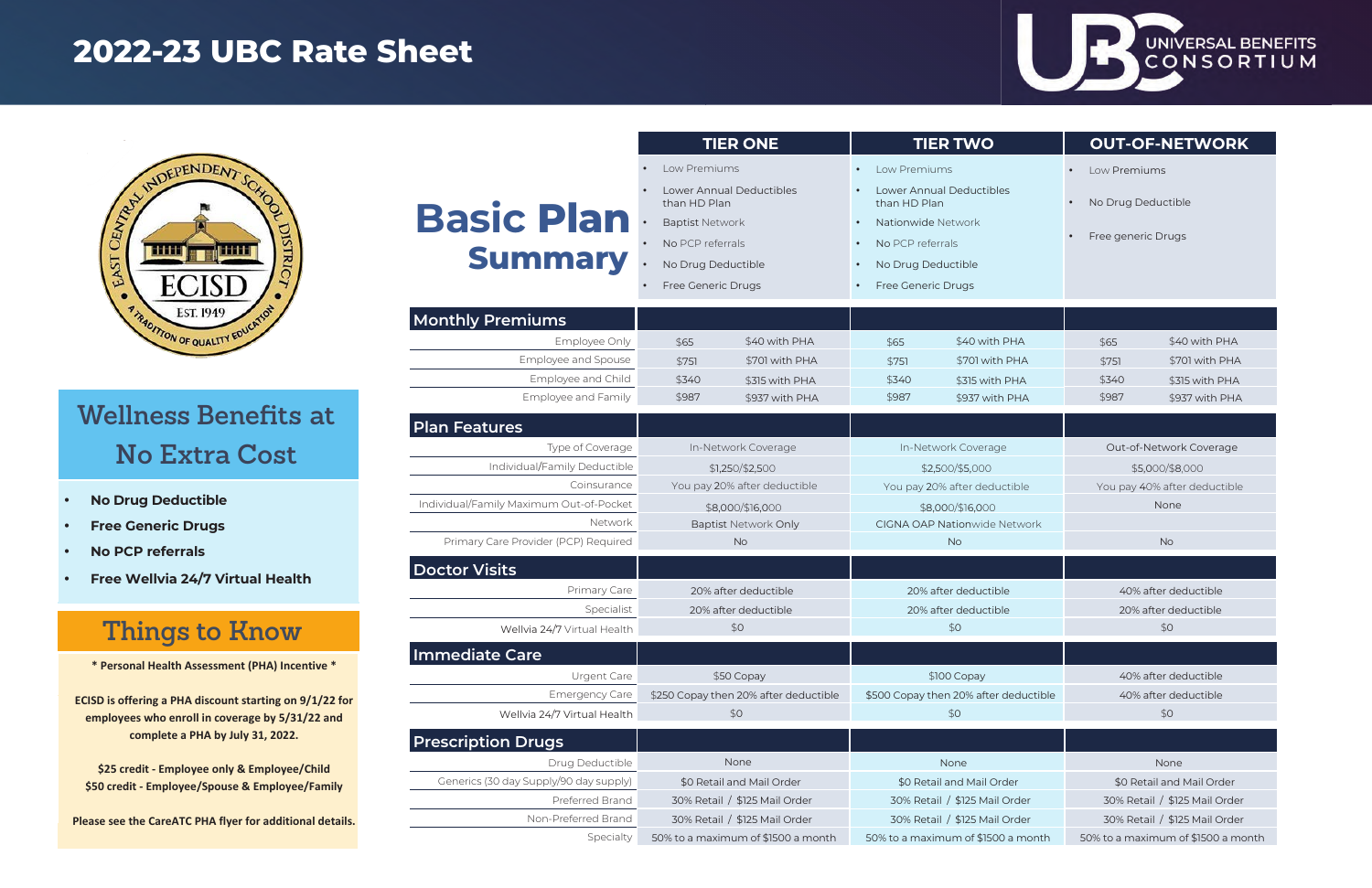### **Wellness Benefits at No Extra Cost**

**ECISD is offering a PHA discount starting on 9/1/22 for employees who enroll in coverage by 5/31/22 and complete a PHA by July 31, 2022.**

 $\mathcal{L}$ 

 $\overline{\phantom{0}}$ 

**\$25 credit - Employee only & Employee/Child\$50 credit - Employee/Spouse & Employee/Family**

**Please see the CareATC PHA flyer for additional details.**

**\* Personal Health Assessment (PHA) Incentive \***

|                                         | <b>TIER ONE</b>                       |                          | <b>TIER TWO</b>                       |                                          | <b>OUT-OF-NETWORK</b>              |                                 |  |
|-----------------------------------------|---------------------------------------|--------------------------|---------------------------------------|------------------------------------------|------------------------------------|---------------------------------|--|
|                                         | Low Premiums                          |                          | Low Premiums                          |                                          | Low Premiums<br>$\bullet$          |                                 |  |
| than HD Plan                            |                                       | Lower Annual Deductibles |                                       | Lower Annual Deductibles<br>than HD Plan |                                    | No Drug Deductible<br>$\bullet$ |  |
| <b>Basic Plan</b>                       | <b>Baptist Network</b>                |                          | Nationwide Network                    |                                          |                                    |                                 |  |
|                                         | No PCP referrals                      |                          | No PCP referrals                      |                                          | Free generic Drugs                 |                                 |  |
| <b>Summary</b>                          | No Drug Deductible                    |                          | $\bullet$                             | No Drug Deductible                       |                                    |                                 |  |
|                                         | Free Generic Drugs                    |                          | Free Generic Drugs                    |                                          |                                    |                                 |  |
| <b>Monthly Premiums</b>                 |                                       |                          |                                       |                                          |                                    |                                 |  |
| Employee Only                           | \$65                                  | \$40 with PHA            | \$65                                  | \$40 with PHA                            | \$65                               | \$40 with PHA                   |  |
| Employee and Spouse                     | \$751                                 | \$701 with PHA           | \$751                                 | \$701 with PHA                           | \$751                              | \$701 with PHA                  |  |
| Employee and Child                      | \$340                                 | \$315 with PHA           | \$340                                 | \$315 with PHA                           | \$340                              | \$315 with PHA                  |  |
| Employee and Family                     | \$987                                 | \$937 with PHA           | \$987                                 | \$937 with PHA                           | \$987                              | \$937 with PHA                  |  |
| Plan Features                           |                                       |                          |                                       |                                          |                                    |                                 |  |
| Type of Coverage                        | In-Network Coverage                   |                          | In-Network Coverage                   |                                          | Out-of-Network Coverage            |                                 |  |
| Individual/Family Deductible            | \$1,250/\$2,500                       |                          | \$2,500/\$5,000                       |                                          | \$5,000/\$8,000                    |                                 |  |
| Coinsurance                             | You pay 20% after deductible          |                          | You pay 20% after deductible          |                                          | You pay 40% after deductible       |                                 |  |
| Individual/Family Maximum Out-of-Pocket | \$8,000/\$16,000                      |                          | \$8,000/\$16,000                      |                                          | None                               |                                 |  |
| Network                                 | <b>Baptist Network Only</b>           |                          | <b>CIGNA OAP Nationwide Network</b>   |                                          |                                    |                                 |  |
| Primary Care Provider (PCP) Required    | <b>No</b>                             |                          | <b>No</b>                             |                                          | <b>No</b>                          |                                 |  |
| Doctor Visits                           |                                       |                          |                                       |                                          |                                    |                                 |  |
| Primary Care                            | 20% after deductible                  |                          | 20% after deductible                  |                                          | 40% after deductible               |                                 |  |
| Specialist                              | 20% after deductible                  |                          | 20% after deductible                  |                                          | 20% after deductible               |                                 |  |
| Wellvia 24/7 Virtual Health             | \$0                                   |                          | \$0                                   |                                          | \$0                                |                                 |  |
| Immediate Care                          |                                       |                          |                                       |                                          |                                    |                                 |  |
| Urgent Care                             | \$50 Copay                            |                          | \$100 Copay                           |                                          | 40% after deductible               |                                 |  |
| <b>Emergency Care</b>                   | \$250 Copay then 20% after deductible |                          | \$500 Copay then 20% after deductible |                                          | 40% after deductible               |                                 |  |
| Wellvia 24/7 Virtual Health             | \$0                                   |                          | \$0                                   |                                          | \$0                                |                                 |  |
| <b>Prescription Drugs</b>               |                                       |                          |                                       |                                          |                                    |                                 |  |
| Drug Deductible                         | None                                  |                          | None                                  |                                          | None                               |                                 |  |
| Generics (30 day Supply/90 day supply)  | \$0 Retail and Mail Order             |                          | \$0 Retail and Mail Order             |                                          | \$0 Retail and Mail Order          |                                 |  |
| Preferred Brand                         | 30% Retail / \$125 Mail Order         |                          | 30% Retail / \$125 Mail Order         |                                          | 30% Retail / \$125 Mail Order      |                                 |  |
| Non-Preferred Brand                     | 30% Retail / \$125 Mail Order         |                          | 30% Retail / \$125 Mail Order         |                                          | 30% Retail / \$125 Mail Order      |                                 |  |
| Specialty                               | 50% to a maximum of \$1500 a month    |                          |                                       | 50% to a maximum of \$1500 a month       | 50% to a maximum of \$1500 a month |                                 |  |

#### UNIVERSAL BENEFITS CONSORTIUM

## **2022-23 UBC Rate Sheet**



- **•No Drug Deductible**
- **•Free Generic Drugs**
- **•No PCP referrals**
- **•Free Wellvia 24/7 Virtual Health**

# **Things to Know**